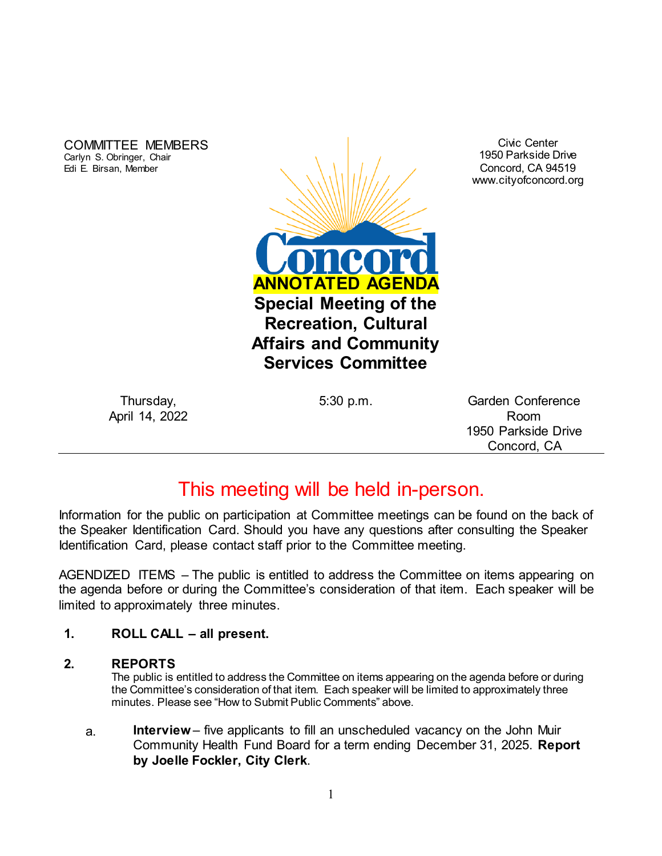COMMITTEE MEMBERS Carlyn S. Obringer, Chair Edi E. Birsan, Member



Civic Center 1950 Parkside Drive Concord, CA 94519 www.cityofconcord.org

Thursday, April 14, 2022

5:30 p.m. Garden Conference Room 1950 Parkside Drive Concord, CA

# This meeting will be held in-person.

Information for the public on participation at Committee meetings can be found on the back of the Speaker Identification Card. Should you have any questions after consulting the Speaker Identification Card, please contact staff prior to the Committee meeting.

AGENDIZED ITEMS – The public is entitled to address the Committee on items appearing on the agenda before or during the Committee's consideration of that item. Each speaker will be limited to approximately three minutes.

## **1. ROLL CALL – all present.**

#### **2. REPORTS**

The public is entitled to address the Committee on items appearing on the agenda before or during the Committee's consideration of that item. Each speaker will be limited to approximately three minutes. Please see "How to Submit Public Comments" above.

a. **Interview**– five applicants to fill an unscheduled vacancy on the John Muir Community Health Fund Board for a term ending December 31, 2025. **Report by Joelle Fockler, City Clerk**.